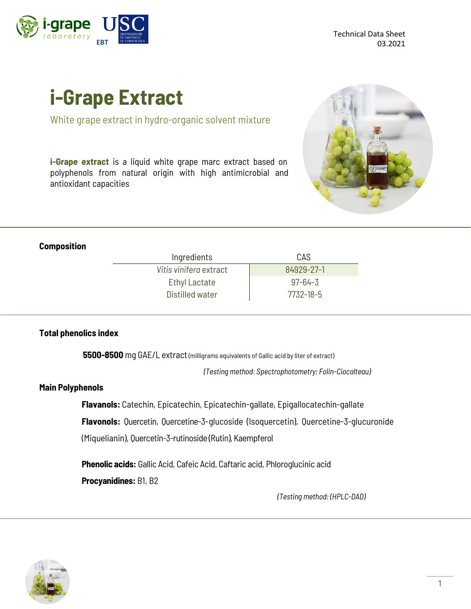

# **i-Grape Extract**

White grape extract in hydro-organic solvent mixture

**i-Grape extract** is a liquid white grape marc extract based on polyphenols from natural origin with high antimicrobial and antioxidant capacities



#### **Composition**

| Ingredients            | CAS           |
|------------------------|---------------|
| Vitis vinifera extract | 84929-27-1    |
| <b>Ethyl Lactate</b>   | $97 - 64 - 3$ |
| Distilled water        | 7732-18-5     |

#### **Total phenolics index**

**5500-8500** mg GAE/L extract (milligrams equivalents of Gallic acid by liter of extract)

*(Testing method: Spectrophotometry; Folin-Ciocalteau)*

#### **Main Polyphenols**

**Flavanols:** Catechin, Epicatechin, Epicatechin-gallate, Epigallocatechin-gallate

**Flavonols:** Quercetin, Quercetine-3-glucoside (Isoquercetin), Quercetine-3-glucuronide

(Miquelianin), Quercetin-3-rutinoside (Rutin), Kaempferol

**Phenolic acids:** Gallic Acid, Cafeic Acid, Caftaric acid, Phloroglucinic acid **Procyanidines:** B1, B2

*(Testing method: (HPLC-DAD)*

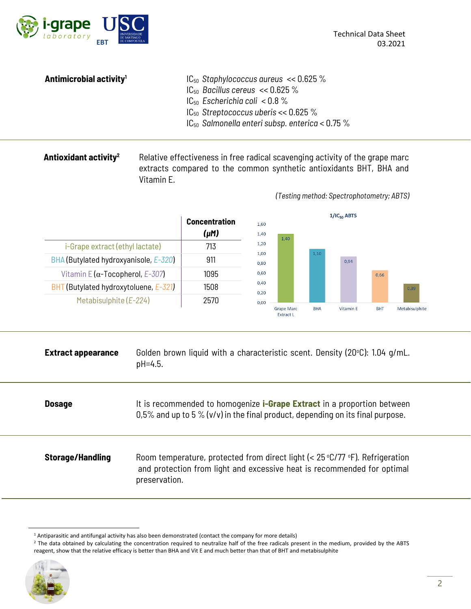

*(Testing method: Spectrophotometry; ABTS)*

| Antimicrobial activity <sup>1</sup> | $IC_{50}$ Staphylococcus aureus << 0.625 %           |
|-------------------------------------|------------------------------------------------------|
|                                     | $IC_{50}$ Bacillus cereus << 0.625 %                 |
|                                     | $IC_{50}$ Escherichia coli < 0.8 %                   |
|                                     | $IC_{50}$ Streptococcus uberis << 0.625 %            |
|                                     | $IC_{50}$ Salmonella enteri subsp. enterica < 0.75 % |

### **Antioxidant activity<sup>2</sup>** Relative effectiveness in free radical scavenging activity of the grape marc extracts compared to the common synthetic antioxidants BHT, BHA and Vitamin E.



| <b>Extract appearance</b> | Golden brown liquid with a characteristic scent. Density (20°C): 1.04 g/mL.<br>pH=4.5.                                                                                            |
|---------------------------|-----------------------------------------------------------------------------------------------------------------------------------------------------------------------------------|
| <b>Dosage</b>             | It is recommended to homogenize <b>i-Grape Extract</b> in a proportion between<br>0,5% and up to 5 % ( $v/v$ ) in the final product, depending on its final purpose.              |
| <b>Storage/Handling</b>   | Room temperature, protected from direct light (< $25^{\circ}$ C/77 °F). Refrigeration<br>and protection from light and excessive heat is recommended for optimal<br>preservation. |

<sup>&</sup>lt;sup>2</sup> The data obtained by calculating the concentration required to neutralize half of the free radicals present in the medium, provided by the ABTS reagent, show that the relative efficacy is better than BHA and Vit E and much better than that of BHT and metabisulphite



<sup>&</sup>lt;sup>1</sup> Antiparasitic and antifungal activity has also been demonstrated (contact the company for more details)